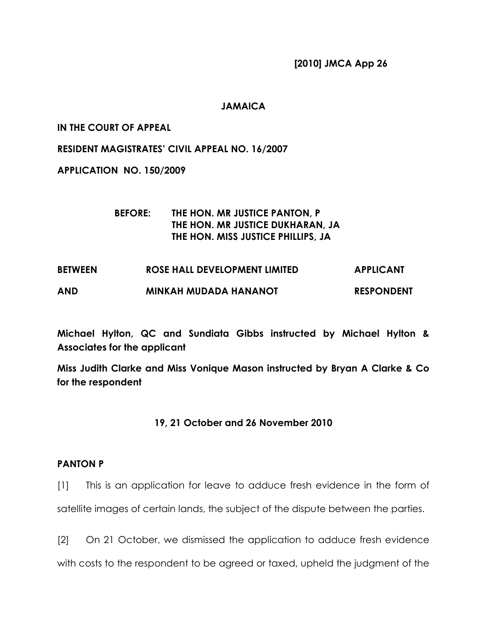[2010] JMCA App 26

## JAMAICA

## IN THE COURT OF APPEAL

RESIDENT MAGISTRATES' CIVIL APPEAL NO. 16/2007

APPLICATION NO. 150/2009

# BEFORE: THE HON. MR JUSTICE PANTON, P THE HON. MR JUSTICE DUKHARAN, JA THE HON. MISS JUSTICE PHILLIPS, JA

| <b>BETWEEN</b> | ROSE HALL DEVELOPMENT LIMITED | <b>APPLICANT</b>  |
|----------------|-------------------------------|-------------------|
| <b>AND</b>     | <b>MINKAH MUDADA HANANOT</b>  | <b>RESPONDENT</b> |

Michael Hylton, QC and Sundiata Gibbs instructed by Michael Hylton & Associates for the applicant

Miss Judith Clarke and Miss Vonique Mason instructed by Bryan A Clarke & Co for the respondent

# 19, 21 October and 26 November 2010

### PANTON P

[1] This is an application for leave to adduce fresh evidence in the form of satellite images of certain lands, the subject of the dispute between the parties.

[2] On 21 October, we dismissed the application to adduce fresh evidence with costs to the respondent to be agreed or taxed, upheld the judgment of the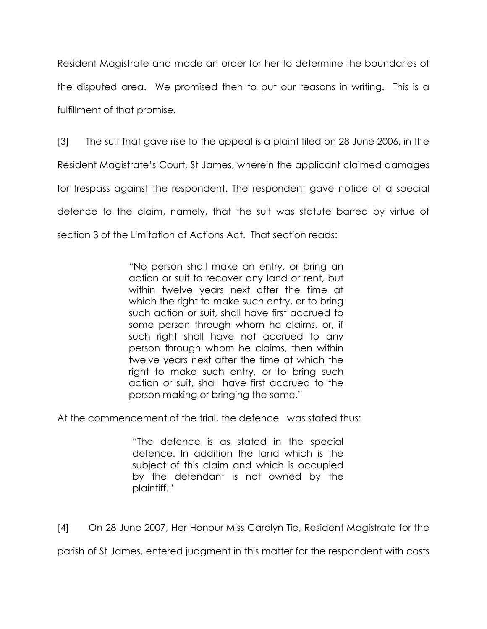Resident Magistrate and made an order for her to determine the boundaries of the disputed area. We promised then to put our reasons in writing. This is a fulfillment of that promise.

[3] The suit that gave rise to the appeal is a plaint filed on 28 June 2006, in the Resident Magistrate's Court, St James, wherein the applicant claimed damages for trespass against the respondent. The respondent gave notice of a special defence to the claim, namely, that the suit was statute barred by virtue of section 3 of the Limitation of Actions Act. That section reads:

> "No person shall make an entry, or bring an action or suit to recover any land or rent, but within twelve years next after the time at which the right to make such entry, or to bring such action or suit, shall have first accrued to some person through whom he claims, or, if such right shall have not accrued to any person through whom he claims, then within twelve years next after the time at which the right to make such entry, or to bring such action or suit, shall have first accrued to the person making or bringing the same."

At the commencement of the trial, the defence was stated thus:

"The defence is as stated in the special defence. In addition the land which is the subject of this claim and which is occupied by the defendant is not owned by the plaintiff."

[4] On 28 June 2007, Her Honour Miss Carolyn Tie, Resident Magistrate for the

parish of St James, entered judgment in this matter for the respondent with costs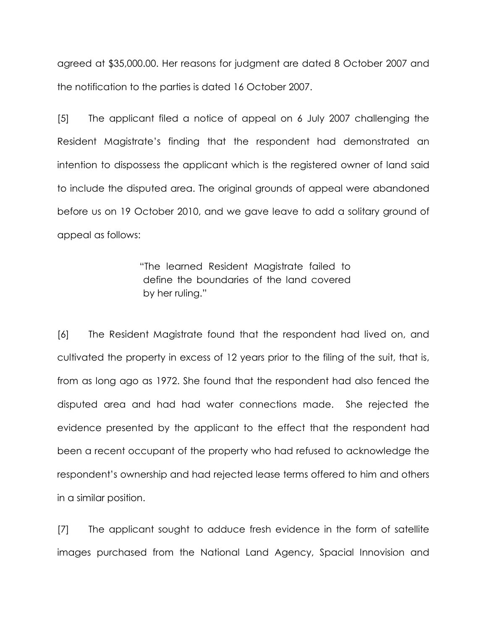agreed at \$35,000.00. Her reasons for judgment are dated 8 October 2007 and the notification to the parties is dated 16 October 2007.

[5] The applicant filed a notice of appeal on 6 July 2007 challenging the Resident Magistrate's finding that the respondent had demonstrated an intention to dispossess the applicant which is the registered owner of land said to include the disputed area. The original grounds of appeal were abandoned before us on 19 October 2010, and we gave leave to add a solitary ground of appeal as follows:

> "The learned Resident Magistrate failed to define the boundaries of the land covered by her ruling."

[6] The Resident Magistrate found that the respondent had lived on, and cultivated the property in excess of 12 years prior to the filing of the suit, that is, from as long ago as 1972. She found that the respondent had also fenced the disputed area and had had water connections made. She rejected the evidence presented by the applicant to the effect that the respondent had been a recent occupant of the property who had refused to acknowledge the respondent's ownership and had rejected lease terms offered to him and others in a similar position.

[7] The applicant sought to adduce fresh evidence in the form of satellite images purchased from the National Land Agency, Spacial Innovision and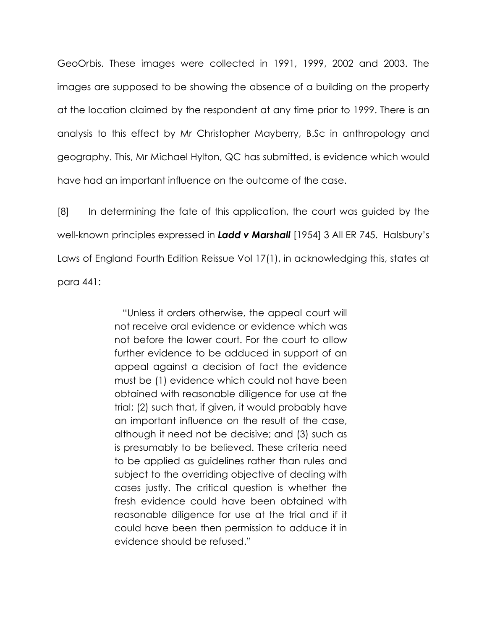GeoOrbis. These images were collected in 1991, 1999, 2002 and 2003. The images are supposed to be showing the absence of a building on the property at the location claimed by the respondent at any time prior to 1999. There is an analysis to this effect by Mr Christopher Mayberry, B.Sc in anthropology and geography. This, Mr Michael Hylton, QC has submitted, is evidence which would have had an important influence on the outcome of the case.

[8] In determining the fate of this application, the court was guided by the well-known principles expressed in Ladd v Marshall [1954] 3 All ER 745. Halsbury's Laws of England Fourth Edition Reissue Vol 17(1), in acknowledging this, states at para 441:

> "Unless it orders otherwise, the appeal court will not receive oral evidence or evidence which was not before the lower court. For the court to allow further evidence to be adduced in support of an appeal against a decision of fact the evidence must be (1) evidence which could not have been obtained with reasonable diligence for use at the trial; (2) such that, if given, it would probably have an important influence on the result of the case, although it need not be decisive; and (3) such as is presumably to be believed. These criteria need to be applied as guidelines rather than rules and subject to the overriding objective of dealing with cases justly. The critical question is whether the fresh evidence could have been obtained with reasonable diligence for use at the trial and if it could have been then permission to adduce it in evidence should be refused."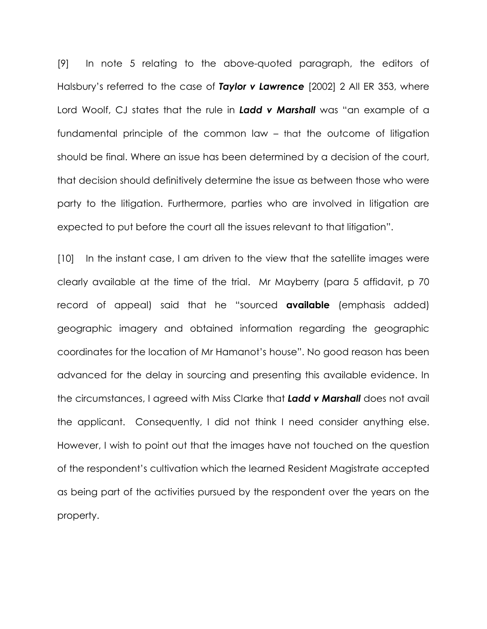[9] In note 5 relating to the above-quoted paragraph, the editors of Halsbury's referred to the case of Taylor v Lawrence [2002] 2 All ER 353, where Lord Woolf, CJ states that the rule in Ladd v Marshall was "an example of a fundamental principle of the common law – that the outcome of litigation should be final. Where an issue has been determined by a decision of the court, that decision should definitively determine the issue as between those who were party to the litigation. Furthermore, parties who are involved in litigation are expected to put before the court all the issues relevant to that litigation".

[10] In the instant case, I am driven to the view that the satellite images were clearly available at the time of the trial. Mr Mayberry (para 5 affidavit, p 70 record of appeal) said that he "sourced **available** (emphasis added) geographic imagery and obtained information regarding the geographic coordinates for the location of Mr Hamanot's house". No good reason has been advanced for the delay in sourcing and presenting this available evidence. In the circumstances, I agreed with Miss Clarke that Ladd v Marshall does not avail the applicant. Consequently, I did not think I need consider anything else. However, I wish to point out that the images have not touched on the question of the respondent's cultivation which the learned Resident Magistrate accepted as being part of the activities pursued by the respondent over the years on the property.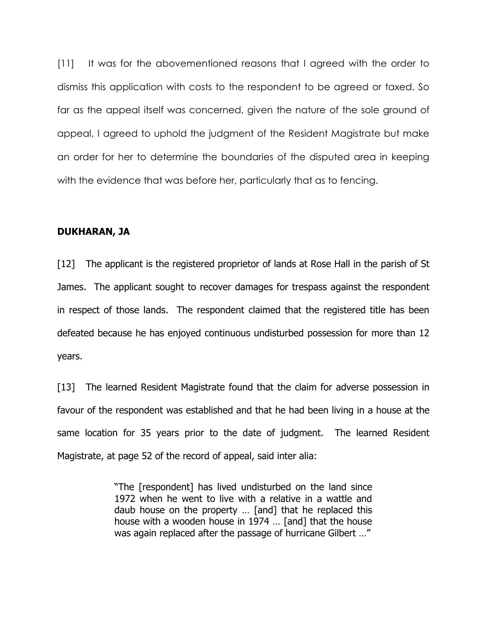[11] It was for the abovementioned reasons that I agreed with the order to dismiss this application with costs to the respondent to be agreed or taxed. So far as the appeal itself was concerned, given the nature of the sole ground of appeal, I agreed to uphold the judgment of the Resident Magistrate but make an order for her to determine the boundaries of the disputed area in keeping with the evidence that was before her, particularly that as to fencing.

#### DUKHARAN, JA

[12] The applicant is the registered proprietor of lands at Rose Hall in the parish of St James. The applicant sought to recover damages for trespass against the respondent in respect of those lands. The respondent claimed that the registered title has been defeated because he has enjoyed continuous undisturbed possession for more than 12 years.

[13] The learned Resident Magistrate found that the claim for adverse possession in favour of the respondent was established and that he had been living in a house at the same location for 35 years prior to the date of judgment. The learned Resident Magistrate, at page 52 of the record of appeal, said inter alia:

> "The [respondent] has lived undisturbed on the land since 1972 when he went to live with a relative in a wattle and daub house on the property … [and] that he replaced this house with a wooden house in 1974 … [and] that the house was again replaced after the passage of hurricane Gilbert …"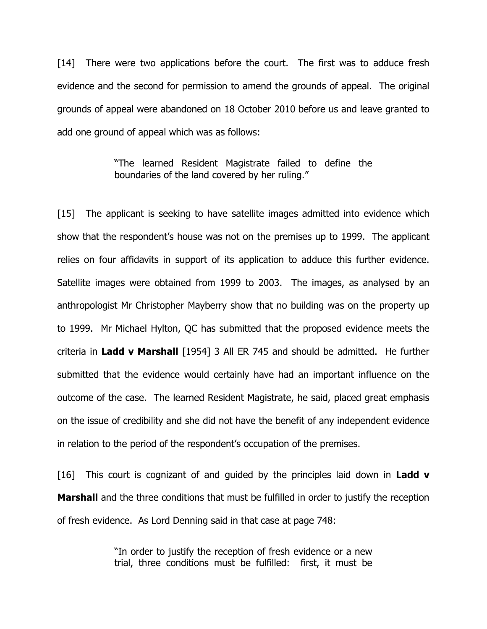[14] There were two applications before the court. The first was to adduce fresh evidence and the second for permission to amend the grounds of appeal. The original grounds of appeal were abandoned on 18 October 2010 before us and leave granted to add one ground of appeal which was as follows:

> "The learned Resident Magistrate failed to define the boundaries of the land covered by her ruling."

[15] The applicant is seeking to have satellite images admitted into evidence which show that the respondent's house was not on the premises up to 1999. The applicant relies on four affidavits in support of its application to adduce this further evidence. Satellite images were obtained from 1999 to 2003. The images, as analysed by an anthropologist Mr Christopher Mayberry show that no building was on the property up to 1999. Mr Michael Hylton, QC has submitted that the proposed evidence meets the criteria in Ladd v Marshall [1954] 3 All ER 745 and should be admitted. He further submitted that the evidence would certainly have had an important influence on the outcome of the case. The learned Resident Magistrate, he said, placed great emphasis on the issue of credibility and she did not have the benefit of any independent evidence in relation to the period of the respondent's occupation of the premises.

[16] This court is cognizant of and guided by the principles laid down in **Ladd v Marshall** and the three conditions that must be fulfilled in order to justify the reception of fresh evidence. As Lord Denning said in that case at page 748:

> "In order to justify the reception of fresh evidence or a new trial, three conditions must be fulfilled: first, it must be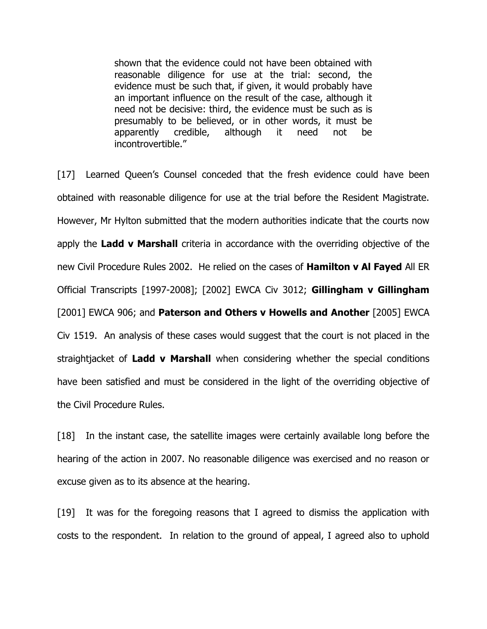shown that the evidence could not have been obtained with reasonable diligence for use at the trial: second, the evidence must be such that, if given, it would probably have an important influence on the result of the case, although it need not be decisive: third, the evidence must be such as is presumably to be believed, or in other words, it must be apparently credible, although it need not be incontrovertible."

[17] Learned Queen's Counsel conceded that the fresh evidence could have been obtained with reasonable diligence for use at the trial before the Resident Magistrate. However, Mr Hylton submitted that the modern authorities indicate that the courts now apply the Ladd v Marshall criteria in accordance with the overriding objective of the new Civil Procedure Rules 2002. He relied on the cases of Hamilton v Al Fayed All ER Official Transcripts [1997-2008]; [2002] EWCA Civ 3012; Gillingham v Gillingham [2001] EWCA 906; and **Paterson and Others v Howells and Another** [2005] EWCA Civ 1519. An analysis of these cases would suggest that the court is not placed in the straightjacket of Ladd v Marshall when considering whether the special conditions have been satisfied and must be considered in the light of the overriding objective of the Civil Procedure Rules.

[18] In the instant case, the satellite images were certainly available long before the hearing of the action in 2007. No reasonable diligence was exercised and no reason or excuse given as to its absence at the hearing.

[19] It was for the foregoing reasons that I agreed to dismiss the application with costs to the respondent. In relation to the ground of appeal, I agreed also to uphold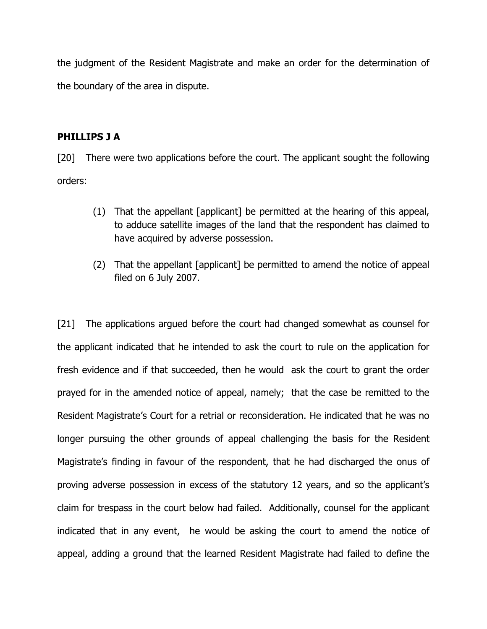the judgment of the Resident Magistrate and make an order for the determination of the boundary of the area in dispute.

# PHILLIPS J A

[20] There were two applications before the court. The applicant sought the following orders:

- (1) That the appellant [applicant] be permitted at the hearing of this appeal, to adduce satellite images of the land that the respondent has claimed to have acquired by adverse possession.
- (2) That the appellant [applicant] be permitted to amend the notice of appeal filed on 6 July 2007.

[21] The applications argued before the court had changed somewhat as counsel for the applicant indicated that he intended to ask the court to rule on the application for fresh evidence and if that succeeded, then he would ask the court to grant the order prayed for in the amended notice of appeal, namely; that the case be remitted to the Resident Magistrate's Court for a retrial or reconsideration. He indicated that he was no longer pursuing the other grounds of appeal challenging the basis for the Resident Magistrate's finding in favour of the respondent, that he had discharged the onus of proving adverse possession in excess of the statutory 12 years, and so the applicant's claim for trespass in the court below had failed. Additionally, counsel for the applicant indicated that in any event, he would be asking the court to amend the notice of appeal, adding a ground that the learned Resident Magistrate had failed to define the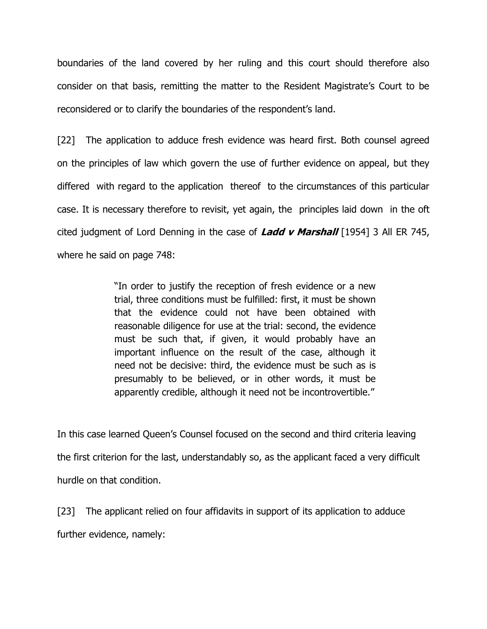boundaries of the land covered by her ruling and this court should therefore also consider on that basis, remitting the matter to the Resident Magistrate's Court to be reconsidered or to clarify the boundaries of the respondent's land.

[22] The application to adduce fresh evidence was heard first. Both counsel agreed on the principles of law which govern the use of further evidence on appeal, but they differed with regard to the application thereof to the circumstances of this particular case. It is necessary therefore to revisit, yet again, the principles laid down in the oft cited judgment of Lord Denning in the case of Ladd v Marshall [1954] 3 All ER 745, where he said on page 748:

> "In order to justify the reception of fresh evidence or a new trial, three conditions must be fulfilled: first, it must be shown that the evidence could not have been obtained with reasonable diligence for use at the trial: second, the evidence must be such that, if given, it would probably have an important influence on the result of the case, although it need not be decisive: third, the evidence must be such as is presumably to be believed, or in other words, it must be apparently credible, although it need not be incontrovertible."

In this case learned Queen's Counsel focused on the second and third criteria leaving the first criterion for the last, understandably so, as the applicant faced a very difficult hurdle on that condition.

[23] The applicant relied on four affidavits in support of its application to adduce further evidence, namely: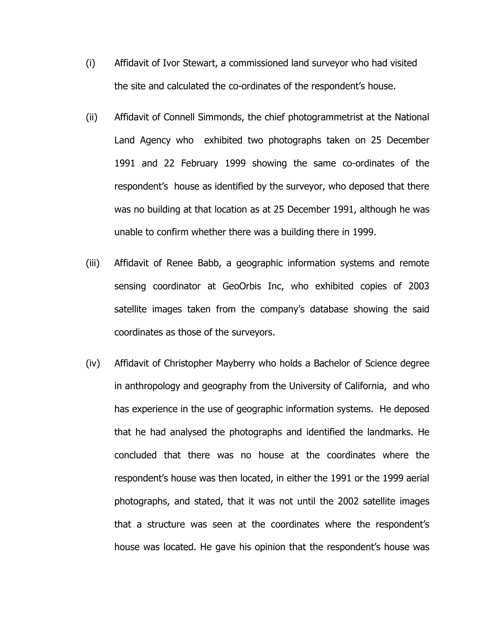- (i) Affidavit of Ivor Stewart, a commissioned land surveyor who had visited the site and calculated the co-ordinates of the respondent's house.
- (ii) Affidavit of Connell Simmonds, the chief photogrammetrist at the National Land Agency who exhibited two photographs taken on 25 December 1991 and 22 February 1999 showing the same co-ordinates of the respondent's house as identified by the surveyor, who deposed that there was no building at that location as at 25 December 1991, although he was unable to confirm whether there was a building there in 1999.
- (iii) Affidavit of Renee Babb, a geographic information systems and remote sensing coordinator at GeoOrbis Inc, who exhibited copies of 2003 satellite images taken from the company's database showing the said coordinates as those of the surveyors.
- (iv) Affidavit of Christopher Mayberry who holds a Bachelor of Science degree in anthropology and geography from the University of California, and who has experience in the use of geographic information systems. He deposed that he had analysed the photographs and identified the landmarks. He concluded that there was no house at the coordinates where the respondent's house was then located, in either the 1991 or the 1999 aerial photographs, and stated, that it was not until the 2002 satellite images that a structure was seen at the coordinates where the respondent's house was located. He gave his opinion that the respondent's house was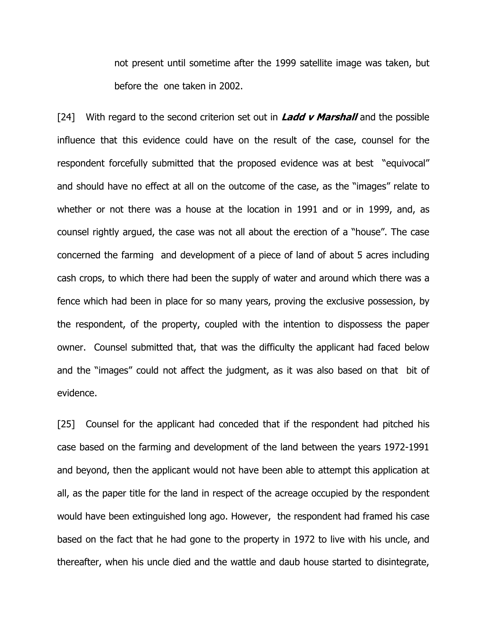not present until sometime after the 1999 satellite image was taken, but before the one taken in 2002.

[24] With regard to the second criterion set out in Ladd  $\nu$  Marshall and the possible influence that this evidence could have on the result of the case, counsel for the respondent forcefully submitted that the proposed evidence was at best "equivocal" and should have no effect at all on the outcome of the case, as the "images" relate to whether or not there was a house at the location in 1991 and or in 1999, and, as counsel rightly argued, the case was not all about the erection of a "house". The case concerned the farming and development of a piece of land of about 5 acres including cash crops, to which there had been the supply of water and around which there was a fence which had been in place for so many years, proving the exclusive possession, by the respondent, of the property, coupled with the intention to dispossess the paper owner. Counsel submitted that, that was the difficulty the applicant had faced below and the "images" could not affect the judgment, as it was also based on that bit of evidence.

[25] Counsel for the applicant had conceded that if the respondent had pitched his case based on the farming and development of the land between the years 1972-1991 and beyond, then the applicant would not have been able to attempt this application at all, as the paper title for the land in respect of the acreage occupied by the respondent would have been extinguished long ago. However, the respondent had framed his case based on the fact that he had gone to the property in 1972 to live with his uncle, and thereafter, when his uncle died and the wattle and daub house started to disintegrate,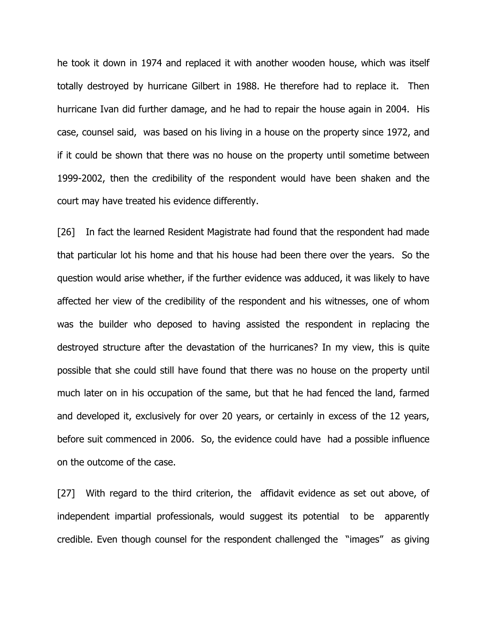he took it down in 1974 and replaced it with another wooden house, which was itself totally destroyed by hurricane Gilbert in 1988. He therefore had to replace it. Then hurricane Ivan did further damage, and he had to repair the house again in 2004. His case, counsel said, was based on his living in a house on the property since 1972, and if it could be shown that there was no house on the property until sometime between 1999-2002, then the credibility of the respondent would have been shaken and the court may have treated his evidence differently.

[26] In fact the learned Resident Magistrate had found that the respondent had made that particular lot his home and that his house had been there over the years. So the question would arise whether, if the further evidence was adduced, it was likely to have affected her view of the credibility of the respondent and his witnesses, one of whom was the builder who deposed to having assisted the respondent in replacing the destroyed structure after the devastation of the hurricanes? In my view, this is quite possible that she could still have found that there was no house on the property until much later on in his occupation of the same, but that he had fenced the land, farmed and developed it, exclusively for over 20 years, or certainly in excess of the 12 years, before suit commenced in 2006. So, the evidence could have had a possible influence on the outcome of the case.

[27] With regard to the third criterion, the affidavit evidence as set out above, of independent impartial professionals, would suggest its potential to be apparently credible. Even though counsel for the respondent challenged the "images" as giving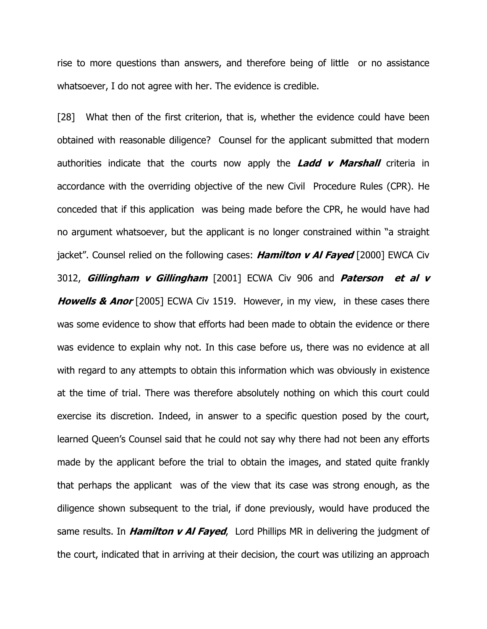rise to more questions than answers, and therefore being of little or no assistance whatsoever, I do not agree with her. The evidence is credible.

[28] What then of the first criterion, that is, whether the evidence could have been obtained with reasonable diligence? Counsel for the applicant submitted that modern authorities indicate that the courts now apply the **Ladd v Marshall** criteria in accordance with the overriding objective of the new Civil Procedure Rules (CPR). He conceded that if this application was being made before the CPR, he would have had no argument whatsoever, but the applicant is no longer constrained within "a straight jacket". Counsel relied on the following cases: **Hamilton v Al Fayed** [2000] EWCA Civ 3012, Gillingham v Gillingham [2001] ECWA Civ 906 and Paterson et al v **Howells & Anor** [2005] ECWA Civ 1519. However, in my view, in these cases there was some evidence to show that efforts had been made to obtain the evidence or there was evidence to explain why not. In this case before us, there was no evidence at all with regard to any attempts to obtain this information which was obviously in existence at the time of trial. There was therefore absolutely nothing on which this court could exercise its discretion. Indeed, in answer to a specific question posed by the court, learned Queen's Counsel said that he could not say why there had not been any efforts made by the applicant before the trial to obtain the images, and stated quite frankly that perhaps the applicant was of the view that its case was strong enough, as the diligence shown subsequent to the trial, if done previously, would have produced the same results. In **Hamilton v Al Fayed**, Lord Phillips MR in delivering the judgment of the court, indicated that in arriving at their decision, the court was utilizing an approach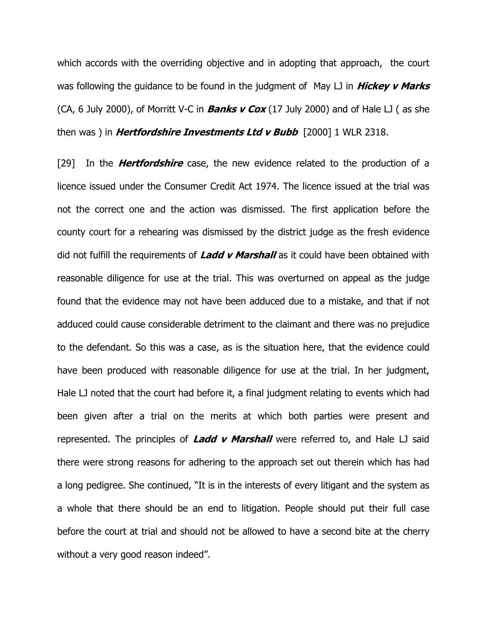which accords with the overriding objective and in adopting that approach, the court was following the guidance to be found in the judgment of May  $\Box$  in **Hickey v Marks** (CA, 6 July 2000), of Morritt V-C in **Banks v Cox** (17 July 2000) and of Hale LJ (as she then was ) in **Hertfordshire Investments Ltd v Bubb**  $[2000]$  1 WLR 2318.

[29] In the **Hertfordshire** case, the new evidence related to the production of a licence issued under the Consumer Credit Act 1974. The licence issued at the trial was not the correct one and the action was dismissed. The first application before the county court for a rehearing was dismissed by the district judge as the fresh evidence did not fulfill the requirements of Ladd  $\nu$  Marshall as it could have been obtained with reasonable diligence for use at the trial. This was overturned on appeal as the judge found that the evidence may not have been adduced due to a mistake, and that if not adduced could cause considerable detriment to the claimant and there was no prejudice to the defendant. So this was a case, as is the situation here, that the evidence could have been produced with reasonable diligence for use at the trial. In her judgment, Hale LJ noted that the court had before it, a final judgment relating to events which had been given after a trial on the merits at which both parties were present and represented. The principles of Ladd v Marshall were referred to, and Hale LJ said there were strong reasons for adhering to the approach set out therein which has had a long pedigree. She continued, "It is in the interests of every litigant and the system as a whole that there should be an end to litigation. People should put their full case before the court at trial and should not be allowed to have a second bite at the cherry without a very good reason indeed".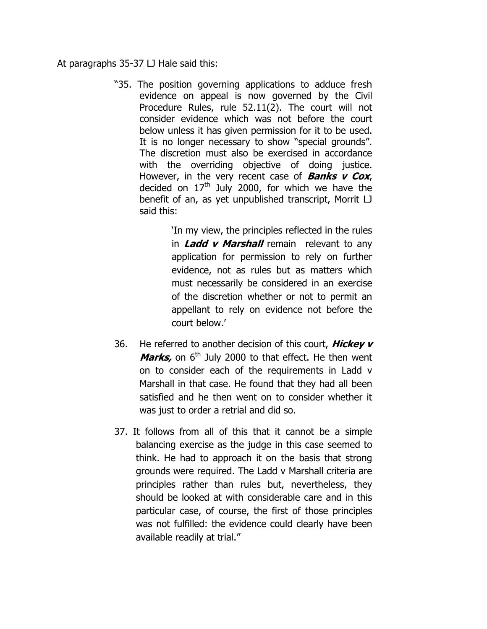At paragraphs 35-37 LJ Hale said this:

"35. The position governing applications to adduce fresh evidence on appeal is now governed by the Civil Procedure Rules, rule 52.11(2). The court will not consider evidence which was not before the court below unless it has given permission for it to be used. It is no longer necessary to show "special grounds". The discretion must also be exercised in accordance with the overriding objective of doing justice. However, in the very recent case of **Banks**  $v$  **Cox**, decided on  $17<sup>th</sup>$  July 2000, for which we have the benefit of an, as yet unpublished transcript, Morrit LJ said this:

> 'In my view, the principles reflected in the rules in **Ladd v Marshall** remain relevant to any application for permission to rely on further evidence, not as rules but as matters which must necessarily be considered in an exercise of the discretion whether or not to permit an appellant to rely on evidence not before the court below.'

- 36. He referred to another decision of this court, **Hickey v** *Marks*, on  $6<sup>th</sup>$  July 2000 to that effect. He then went on to consider each of the requirements in Ladd v Marshall in that case. He found that they had all been satisfied and he then went on to consider whether it was just to order a retrial and did so.
- 37. It follows from all of this that it cannot be a simple balancing exercise as the judge in this case seemed to think. He had to approach it on the basis that strong grounds were required. The Ladd v Marshall criteria are principles rather than rules but, nevertheless, they should be looked at with considerable care and in this particular case, of course, the first of those principles was not fulfilled: the evidence could clearly have been available readily at trial."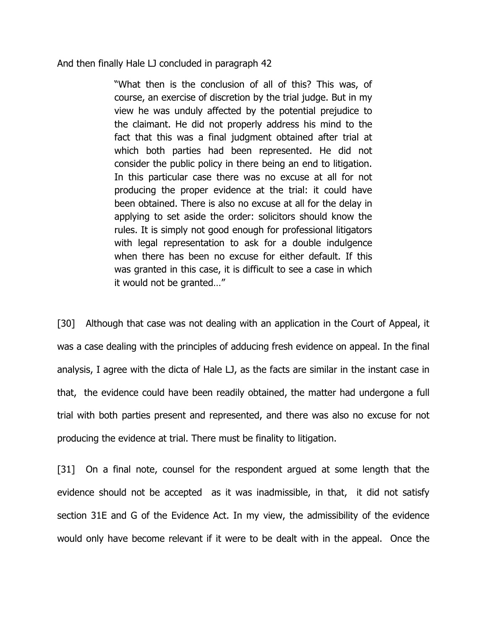And then finally Hale LJ concluded in paragraph 42

"What then is the conclusion of all of this? This was, of course, an exercise of discretion by the trial judge. But in my view he was unduly affected by the potential prejudice to the claimant. He did not properly address his mind to the fact that this was a final judgment obtained after trial at which both parties had been represented. He did not consider the public policy in there being an end to litigation. In this particular case there was no excuse at all for not producing the proper evidence at the trial: it could have been obtained. There is also no excuse at all for the delay in applying to set aside the order: solicitors should know the rules. It is simply not good enough for professional litigators with legal representation to ask for a double indulgence when there has been no excuse for either default. If this was granted in this case, it is difficult to see a case in which it would not be granted…"

[30] Although that case was not dealing with an application in the Court of Appeal, it was a case dealing with the principles of adducing fresh evidence on appeal. In the final analysis, I agree with the dicta of Hale LJ, as the facts are similar in the instant case in that, the evidence could have been readily obtained, the matter had undergone a full trial with both parties present and represented, and there was also no excuse for not producing the evidence at trial. There must be finality to litigation.

[31] On a final note, counsel for the respondent argued at some length that the evidence should not be accepted as it was inadmissible, in that, it did not satisfy section 31E and G of the Evidence Act. In my view, the admissibility of the evidence would only have become relevant if it were to be dealt with in the appeal. Once the